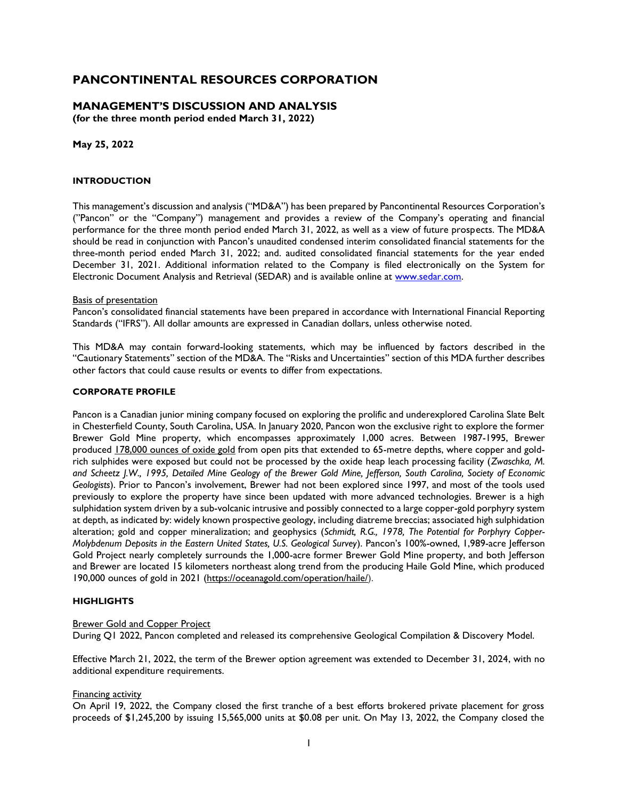## **MANAGEMENT'S DISCUSSION AND ANALYSIS**

**(for the three month period ended March 31, 2022)**

**May 25, 2022**

### **INTRODUCTION**

This management's discussion and analysis ("MD&A") has been prepared by Pancontinental Resources Corporation's ("Pancon" or the "Company") management and provides a review of the Company's operating and financial performance for the three month period ended March 31, 2022, as well as a view of future prospects. The MD&A should be read in conjunction with Pancon's unaudited condensed interim consolidated financial statements for the three-month period ended March 31, 2022; and. audited consolidated financial statements for the year ended December 31, 2021. Additional information related to the Company is filed electronically on the System for Electronic Document Analysis and Retrieval (SEDAR) and is available online at [www.sedar.com.](http://www.sedar.com/)

#### Basis of presentation

Pancon's consolidated financial statements have been prepared in accordance with International Financial Reporting Standards ("IFRS"). All dollar amounts are expressed in Canadian dollars, unless otherwise noted.

This MD&A may contain forward-looking statements, which may be influenced by factors described in the "Cautionary Statements" section of the MD&A. The "Risks and Uncertainties" section of this MDA further describes other factors that could cause results or events to differ from expectations.

#### **CORPORATE PROFILE**

Pancon is a Canadian junior mining company focused on exploring the prolific and underexplored Carolina Slate Belt in Chesterfield County, South Carolina, USA. In January 2020, Pancon won the exclusive right to explore the former Brewer Gold Mine property, which encompasses approximately 1,000 acres. Between 1987-1995, Brewer produced [178,000 ounces of oxide gold](https://www.newsfilecorp.com/redirect/AN4Biamzz) from open pits that extended to 65-metre depths, where copper and goldrich sulphides were exposed but could not be processed by the oxide heap leach processing facility (*Zwaschka, M. and Scheetz J.W., 1995, Detailed Mine Geology of the Brewer Gold Mine, Jefferson, South Carolina, Society of Economic Geologists*). Prior to Pancon's involvement, Brewer had not been explored since 1997, and most of the tools used previously to explore the property have since been updated with more advanced technologies. Brewer is a high sulphidation system driven by a sub-volcanic intrusive and possibly connected to a large copper-gold porphyry system at depth, as indicated by: widely known prospective geology, including diatreme breccias; associated high sulphidation alteration; gold and copper mineralization; and geophysics (*Schmidt, R.G., 1978, The Potential for Porphyry Copper-Molybdenum Deposits in the Eastern United States, U.S. Geological Survey*). Pancon's 100%-owned, 1,989-acre Jefferson Gold Project nearly completely surrounds the 1,000-acre former Brewer Gold Mine property, and both Jefferson and Brewer are located 15 kilometers northeast along trend from the producing Haile Gold Mine, which produced 190,000 ounces of gold in 2021 [\(https://oceanagold.com/operation/haile/\)](https://www.newsfilecorp.com/redirect/4KEWsE1NP).

### **HIGHLIGHTS**

### **Brewer Gold and Copper Project**

During Q1 2022, Pancon completed and released its comprehensive Geological Compilation & Discovery Model.

Effective March 21, 2022, the term of the Brewer option agreement was extended to December 31, 2024, with no additional expenditure requirements.

#### Financing activity

On April 19, 2022, the Company closed the first tranche of a best efforts brokered private placement for gross proceeds of \$1,245,200 by issuing 15,565,000 units at \$0.08 per unit. On May 13, 2022, the Company closed the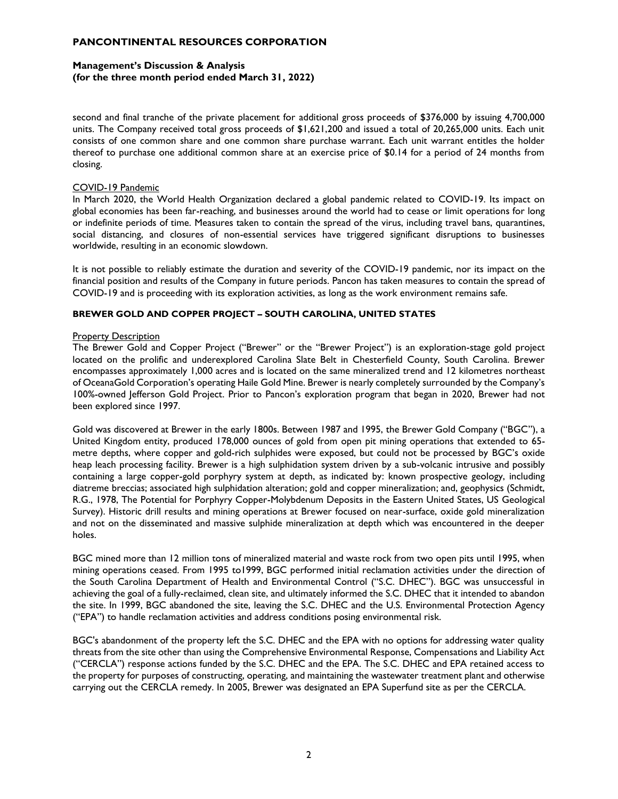## **Management's Discussion & Analysis (for the three month period ended March 31, 2022)**

second and final tranche of the private placement for additional gross proceeds of \$376,000 by issuing 4,700,000 units. The Company received total gross proceeds of \$1,621,200 and issued a total of 20,265,000 units. Each unit consists of one common share and one common share purchase warrant. Each unit warrant entitles the holder thereof to purchase one additional common share at an exercise price of \$0.14 for a period of 24 months from closing.

### COVID-19 Pandemic

In March 2020, the World Health Organization declared a global pandemic related to COVID-19. Its impact on global economies has been far-reaching, and businesses around the world had to cease or limit operations for long or indefinite periods of time. Measures taken to contain the spread of the virus, including travel bans, quarantines, social distancing, and closures of non-essential services have triggered significant disruptions to businesses worldwide, resulting in an economic slowdown.

It is not possible to reliably estimate the duration and severity of the COVID-19 pandemic, nor its impact on the financial position and results of the Company in future periods. Pancon has taken measures to contain the spread of COVID-19 and is proceeding with its exploration activities, as long as the work environment remains safe.

### **BREWER GOLD AND COPPER PROJECT – SOUTH CAROLINA, UNITED STATES**

#### **Property Description**

The Brewer Gold and Copper Project ("Brewer" or the "Brewer Project") is an exploration-stage gold project located on the prolific and underexplored Carolina Slate Belt in Chesterfield County, South Carolina. Brewer encompasses approximately 1,000 acres and is located on the same mineralized trend and 12 kilometres northeast of OceanaGold Corporation's operating Haile Gold Mine. Brewer is nearly completely surrounded by the Company's 100%-owned Jefferson Gold Project. Prior to Pancon's exploration program that began in 2020, Brewer had not been explored since 1997.

Gold was discovered at Brewer in the early 1800s. Between 1987 and 1995, the Brewer Gold Company ("BGC"), a United Kingdom entity, produced 178,000 ounces of gold from open pit mining operations that extended to 65 metre depths, where copper and gold-rich sulphides were exposed, but could not be processed by BGC's oxide heap leach processing facility. Brewer is a high sulphidation system driven by a sub-volcanic intrusive and possibly containing a large copper-gold porphyry system at depth, as indicated by: known prospective geology, including diatreme breccias; associated high sulphidation alteration; gold and copper mineralization; and, geophysics (Schmidt, R.G., 1978, The Potential for Porphyry Copper-Molybdenum Deposits in the Eastern United States, US Geological Survey). Historic drill results and mining operations at Brewer focused on near-surface, oxide gold mineralization and not on the disseminated and massive sulphide mineralization at depth which was encountered in the deeper holes.

BGC mined more than 12 million tons of mineralized material and waste rock from two open pits until 1995, when mining operations ceased. From 1995 to1999, BGC performed initial reclamation activities under the direction of the South Carolina Department of Health and Environmental Control ("S.C. DHEC"). BGC was unsuccessful in achieving the goal of a fully-reclaimed, clean site, and ultimately informed the S.C. DHEC that it intended to abandon the site. In 1999, BGC abandoned the site, leaving the S.C. DHEC and the U.S. Environmental Protection Agency ("EPA") to handle reclamation activities and address conditions posing environmental risk.

BGC's abandonment of the property left the S.C. DHEC and the EPA with no options for addressing water quality threats from the site other than using the Comprehensive Environmental Response, Compensations and Liability Act ("CERCLA") response actions funded by the S.C. DHEC and the EPA. The S.C. DHEC and EPA retained access to the property for purposes of constructing, operating, and maintaining the wastewater treatment plant and otherwise carrying out the CERCLA remedy. In 2005, Brewer was designated an EPA Superfund site as per the CERCLA.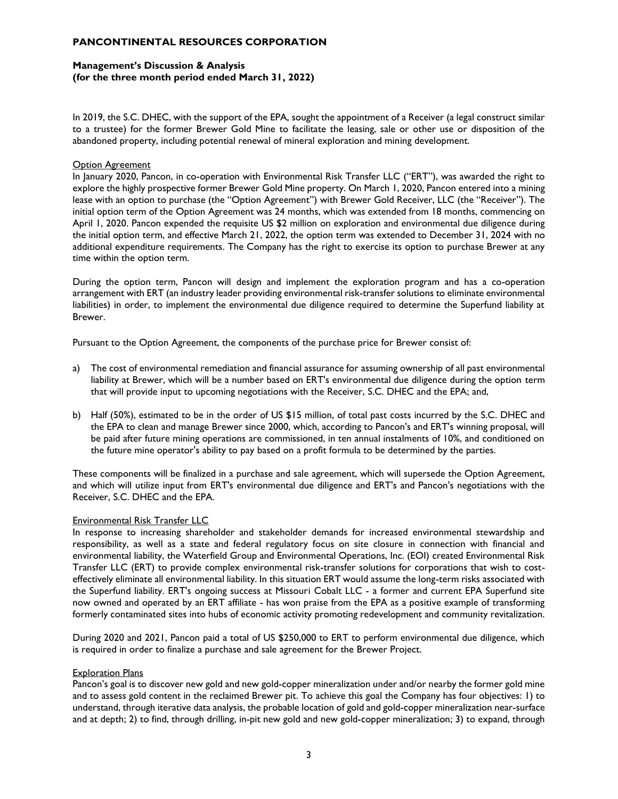## **Management's Discussion & Analysis (for the three month period ended March 31, 2022)**

In 2019, the S.C. DHEC, with the support of the EPA, sought the appointment of a Receiver (a legal construct similar to a trustee) for the former Brewer Gold Mine to facilitate the leasing, sale or other use or disposition of the abandoned property, including potential renewal of mineral exploration and mining development.

### Option Agreement

In January 2020, Pancon, in co-operation with Environmental Risk Transfer LLC ("ERT"), was awarded the right to explore the highly prospective former Brewer Gold Mine property. On March 1, 2020, Pancon entered into a mining lease with an option to purchase (the "Option Agreement") with Brewer Gold Receiver, LLC (the "Receiver"). The initial option term of the Option Agreement was 24 months, which was extended from 18 months, commencing on April 1, 2020. Pancon expended the requisite US \$2 million on exploration and environmental due diligence during the initial option term, and effective March 21, 2022, the option term was extended to December 31, 2024 with no additional expenditure requirements. The Company has the right to exercise its option to purchase Brewer at any time within the option term.

During the option term, Pancon will design and implement the exploration program and has a co-operation arrangement with ERT (an industry leader providing environmental risk-transfer solutions to eliminate environmental liabilities) in order, to implement the environmental due diligence required to determine the Superfund liability at Brewer.

Pursuant to the Option Agreement, the components of the purchase price for Brewer consist of:

- a) The cost of environmental remediation and financial assurance for assuming ownership of all past environmental liability at Brewer, which will be a number based on ERT's environmental due diligence during the option term that will provide input to upcoming negotiations with the Receiver, S.C. DHEC and the EPA; and,
- b) Half (50%), estimated to be in the order of US \$15 million, of total past costs incurred by the S.C. DHEC and the EPA to clean and manage Brewer since 2000, which, according to Pancon's and ERT's winning proposal, will be paid after future mining operations are commissioned, in ten annual instalments of 10%, and conditioned on the future mine operator's ability to pay based on a profit formula to be determined by the parties.

These components will be finalized in a purchase and sale agreement, which will supersede the Option Agreement, and which will utilize input from ERT's environmental due diligence and ERT's and Pancon's negotiations with the Receiver, S.C. DHEC and the EPA.

## Environmental Risk Transfer LLC

In response to increasing shareholder and stakeholder demands for increased environmental stewardship and responsibility, as well as a state and federal regulatory focus on site closure in connection with financial and environmental liability, the Waterfield Group and Environmental Operations, Inc. (EOI) created Environmental Risk Transfer LLC (ERT) to provide complex environmental risk-transfer solutions for corporations that wish to costeffectively eliminate all environmental liability. In this situation ERT would assume the long-term risks associated with the Superfund liability. ERT's ongoing success at Missouri Cobalt LLC - a former and current EPA Superfund site now owned and operated by an ERT affiliate - has won praise from the EPA as a positive example of transforming formerly contaminated sites into hubs of economic activity promoting redevelopment and community revitalization.

During 2020 and 2021, Pancon paid a total of US \$250,000 to ERT to perform environmental due diligence, which is required in order to finalize a purchase and sale agreement for the Brewer Project.

## Exploration Plans

Pancon's goal is to discover new gold and new gold-copper mineralization under and/or nearby the former gold mine and to assess gold content in the reclaimed Brewer pit. To achieve this goal the Company has four objectives: 1) to understand, through iterative data analysis, the probable location of gold and gold-copper mineralization near-surface and at depth; 2) to find, through drilling, in-pit new gold and new gold-copper mineralization; 3) to expand, through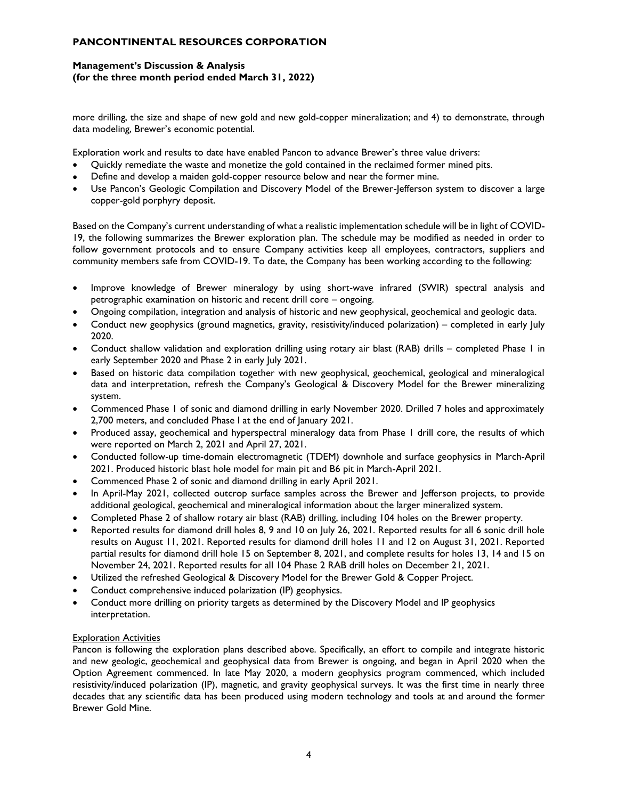## **Management's Discussion & Analysis (for the three month period ended March 31, 2022)**

more drilling, the size and shape of new gold and new gold-copper mineralization; and 4) to demonstrate, through data modeling, Brewer's economic potential.

Exploration work and results to date have enabled Pancon to advance Brewer's three value drivers:

- Quickly remediate the waste and monetize the gold contained in the reclaimed former mined pits.
- Define and develop a maiden gold-copper resource below and near the former mine.
- Use Pancon's Geologic Compilation and Discovery Model of the Brewer-Jefferson system to discover a large copper-gold porphyry deposit.

Based on the Company's current understanding of what a realistic implementation schedule will be in light of COVID-19, the following summarizes the Brewer exploration plan. The schedule may be modified as needed in order to follow government protocols and to ensure Company activities keep all employees, contractors, suppliers and community members safe from COVID-19. To date, the Company has been working according to the following:

- Improve knowledge of Brewer mineralogy by using short-wave infrared (SWIR) spectral analysis and petrographic examination on historic and recent drill core – ongoing.
- Ongoing compilation, integration and analysis of historic and new geophysical, geochemical and geologic data.
- Conduct new geophysics (ground magnetics, gravity, resistivity/induced polarization) completed in early July 2020.
- Conduct shallow validation and exploration drilling using rotary air blast (RAB) drills completed Phase 1 in early September 2020 and Phase 2 in early July 2021.
- Based on historic data compilation together with new geophysical, geochemical, geological and mineralogical data and interpretation, refresh the Company's Geological & Discovery Model for the Brewer mineralizing system.
- Commenced Phase 1 of sonic and diamond drilling in early November 2020. Drilled 7 holes and approximately 2,700 meters, and concluded Phase I at the end of January 2021.
- Produced assay, geochemical and hyperspectral mineralogy data from Phase 1 drill core, the results of which were reported on March 2, 2021 and April 27, 2021.
- Conducted follow-up time-domain electromagnetic (TDEM) downhole and surface geophysics in March-April 2021. Produced historic blast hole model for main pit and B6 pit in March-April 2021.
- Commenced Phase 2 of sonic and diamond drilling in early April 2021.
- In April-May 2021, collected outcrop surface samples across the Brewer and Jefferson projects, to provide additional geological, geochemical and mineralogical information about the larger mineralized system.
- Completed Phase 2 of shallow rotary air blast (RAB) drilling, including 104 holes on the Brewer property.
- Reported results for diamond drill holes 8, 9 and 10 on July 26, 2021. Reported results for all 6 sonic drill hole results on August 11, 2021. Reported results for diamond drill holes 11 and 12 on August 31, 2021. Reported partial results for diamond drill hole 15 on September 8, 2021, and complete results for holes 13, 14 and 15 on November 24, 2021. Reported results for all 104 Phase 2 RAB drill holes on December 21, 2021.
- Utilized the refreshed Geological & Discovery Model for the Brewer Gold & Copper Project.
- Conduct comprehensive induced polarization (IP) geophysics.
- Conduct more drilling on priority targets as determined by the Discovery Model and IP geophysics interpretation.

## Exploration Activities

Pancon is following the exploration plans described above. Specifically, an effort to compile and integrate historic and new geologic, geochemical and geophysical data from Brewer is ongoing, and began in April 2020 when the Option Agreement commenced. In late May 2020, a modern geophysics program commenced, which included resistivity/induced polarization (IP), magnetic, and gravity geophysical surveys. It was the first time in nearly three decades that any scientific data has been produced using modern technology and tools at and around the former Brewer Gold Mine.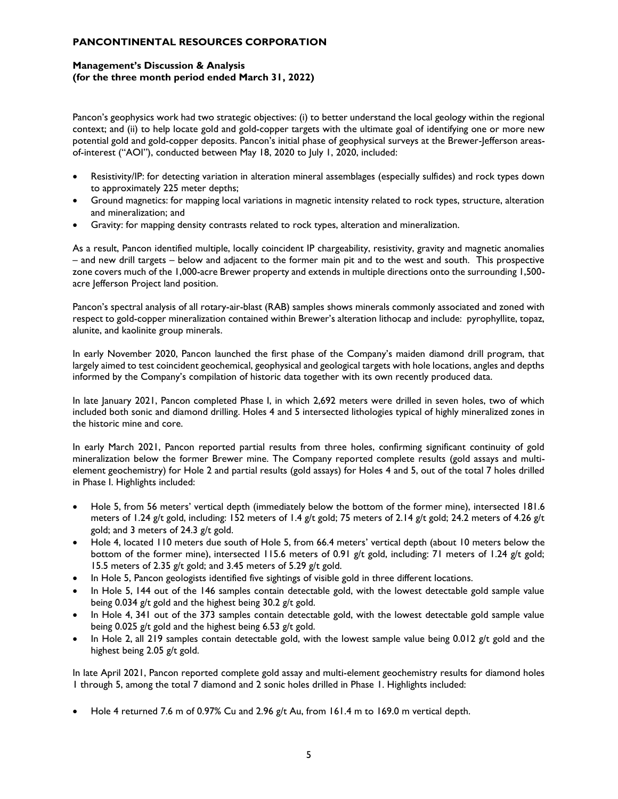## **Management's Discussion & Analysis (for the three month period ended March 31, 2022)**

Pancon's geophysics work had two strategic objectives: (i) to better understand the local geology within the regional context; and (ii) to help locate gold and gold-copper targets with the ultimate goal of identifying one or more new potential gold and gold-copper deposits. Pancon's initial phase of geophysical surveys at the Brewer-Jefferson areasof-interest ("AOI"), conducted between May 18, 2020 to July 1, 2020, included:

- Resistivity/IP: for detecting variation in alteration mineral assemblages (especially sulfides) and rock types down to approximately 225 meter depths;
- Ground magnetics: for mapping local variations in magnetic intensity related to rock types, structure, alteration and mineralization; and
- Gravity: for mapping density contrasts related to rock types, alteration and mineralization.

As a result, Pancon identified multiple, locally coincident IP chargeability, resistivity, gravity and magnetic anomalies – and new drill targets – below and adjacent to the former main pit and to the west and south. This prospective zone covers much of the 1,000-acre Brewer property and extends in multiple directions onto the surrounding 1,500 acre Jefferson Project land position.

Pancon's spectral analysis of all rotary-air-blast (RAB) samples shows minerals commonly associated and zoned with respect to gold-copper mineralization contained within Brewer's alteration lithocap and include: pyrophyllite, topaz, alunite, and kaolinite group minerals.

In early November 2020, Pancon launched the first phase of the Company's maiden diamond drill program, that largely aimed to test coincident geochemical, geophysical and geological targets with hole locations, angles and depths informed by the Company's compilation of historic data together with its own recently produced data.

In late January 2021, Pancon completed Phase I, in which 2,692 meters were drilled in seven holes, two of which included both sonic and diamond drilling. Holes 4 and 5 intersected lithologies typical of highly mineralized zones in the historic mine and core.

In early March 2021, Pancon reported partial results from three holes, confirming significant continuity of gold mineralization below the former Brewer mine. The Company reported complete results (gold assays and multielement geochemistry) for Hole 2 and partial results (gold assays) for Holes 4 and 5, out of the total 7 holes drilled in Phase I. Highlights included:

- Hole 5, from 56 meters' vertical depth (immediately below the bottom of the former mine), intersected 181.6 meters of 1.24 g/t gold, including: 152 meters of 1.4 g/t gold; 75 meters of 2.14 g/t gold; 24.2 meters of 4.26 g/t gold; and 3 meters of 24.3 g/t gold.
- Hole 4, located 110 meters due south of Hole 5, from 66.4 meters' vertical depth (about 10 meters below the bottom of the former mine), intersected 115.6 meters of 0.91 g/t gold, including: 71 meters of 1.24 g/t gold; 15.5 meters of 2.35 g/t gold; and 3.45 meters of 5.29 g/t gold.
- In Hole 5, Pancon geologists identified five sightings of visible gold in three different locations.
- In Hole 5, 144 out of the 146 samples contain detectable gold, with the lowest detectable gold sample value being 0.034 g/t gold and the highest being 30.2 g/t gold.
- In Hole 4, 341 out of the 373 samples contain detectable gold, with the lowest detectable gold sample value being 0.025 g/t gold and the highest being 6.53 g/t gold.
- In Hole 2, all 219 samples contain detectable gold, with the lowest sample value being 0.012 g/t gold and the highest being 2.05 g/t gold.

In late April 2021, Pancon reported complete gold assay and multi-element geochemistry results for diamond holes 1 through 5, among the total 7 diamond and 2 sonic holes drilled in Phase 1. Highlights included:

• Hole 4 returned 7.6 m of 0.97% Cu and 2.96 g/t Au, from 161.4 m to 169.0 m vertical depth.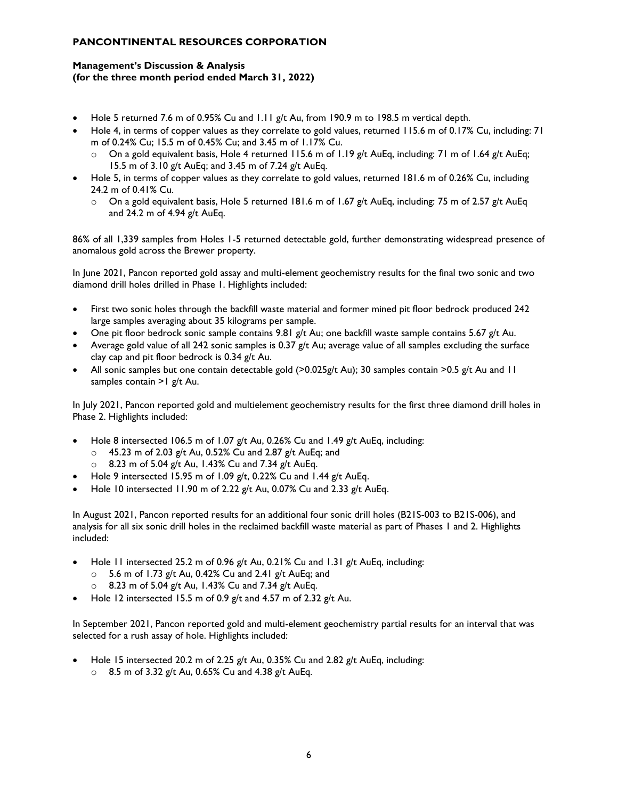## **Management's Discussion & Analysis (for the three month period ended March 31, 2022)**

- Hole 5 returned 7.6 m of 0.95% Cu and 1.11 g/t Au, from 190.9 m to 198.5 m vertical depth.
- Hole 4, in terms of copper values as they correlate to gold values, returned 115.6 m of 0.17% Cu, including: 71 m of 0.24% Cu; 15.5 m of 0.45% Cu; and 3.45 m of 1.17% Cu.
	- $\circ$  On a gold equivalent basis, Hole 4 returned 115.6 m of 1.19 g/t AuEq, including: 71 m of 1.64 g/t AuEq; 15.5 m of 3.10 g/t AuEq; and 3.45 m of 7.24 g/t AuEq.
- Hole 5, in terms of copper values as they correlate to gold values, returned 181.6 m of 0.26% Cu, including 24.2 m of 0.41% Cu.
	- $\circ$  On a gold equivalent basis, Hole 5 returned 181.6 m of 1.67 g/t AuEq, including: 75 m of 2.57 g/t AuEq and 24.2 m of  $4.94$  g/t AuEq.

86% of all 1,339 samples from Holes 1-5 returned detectable gold, further demonstrating widespread presence of anomalous gold across the Brewer property.

In June 2021, Pancon reported gold assay and multi-element geochemistry results for the final two sonic and two diamond drill holes drilled in Phase 1. Highlights included:

- First two sonic holes through the backfill waste material and former mined pit floor bedrock produced 242 large samples averaging about 35 kilograms per sample.
- One pit floor bedrock sonic sample contains 9.81 g/t Au; one backfill waste sample contains 5.67 g/t Au.
- Average gold value of all 242 sonic samples is 0.37 g/t Au; average value of all samples excluding the surface clay cap and pit floor bedrock is 0.34 g/t Au.
- All sonic samples but one contain detectable gold (>0.025g/t Au); 30 samples contain >0.5 g/t Au and 11 samples contain >1 g/t Au.

In July 2021, Pancon reported gold and multielement geochemistry results for the first three diamond drill holes in Phase 2. Highlights included:

- Hole 8 intersected 106.5 m of 1.07 g/t Au, 0.26% Cu and 1.49 g/t AuEq, including:
	- $\circ$  45.23 m of 2.03 g/t Au, 0.52% Cu and 2.87 g/t AuEq; and
	- 8.23 m of 5.04 g/t Au, 1.43% Cu and 7.34 g/t AuEq.
- Hole 9 intersected 15.95 m of 1.09 g/t, 0.22% Cu and 1.44 g/t AuEq.
- Hole 10 intersected 11.90 m of 2.22 g/t Au, 0.07% Cu and 2.33 g/t AuEq.

In August 2021, Pancon reported results for an additional four sonic drill holes (B21S-003 to B21S-006), and analysis for all six sonic drill holes in the reclaimed backfill waste material as part of Phases 1 and 2. Highlights included:

- Hole 11 intersected 25.2 m of 0.96 g/t Au, 0.21% Cu and 1.31 g/t AuEq, including:
	- $\circ$  5.6 m of 1.73 g/t Au, 0.42% Cu and 2.41 g/t AuEq; and
	- $\circ$  8.23 m of 5.04 g/t Au, 1.43% Cu and 7.34 g/t AuEq.
- Hole 12 intersected 15.5 m of 0.9  $g/t$  and 4.57 m of 2.32  $g/t$  Au.

In September 2021, Pancon reported gold and multi-element geochemistry partial results for an interval that was selected for a rush assay of hole. Highlights included:

- Hole 15 intersected 20.2 m of 2.25 g/t Au, 0.35% Cu and 2.82 g/t AuEq, including:
	- $\circ$  8.5 m of 3.32 g/t Au, 0.65% Cu and 4.38 g/t AuEq.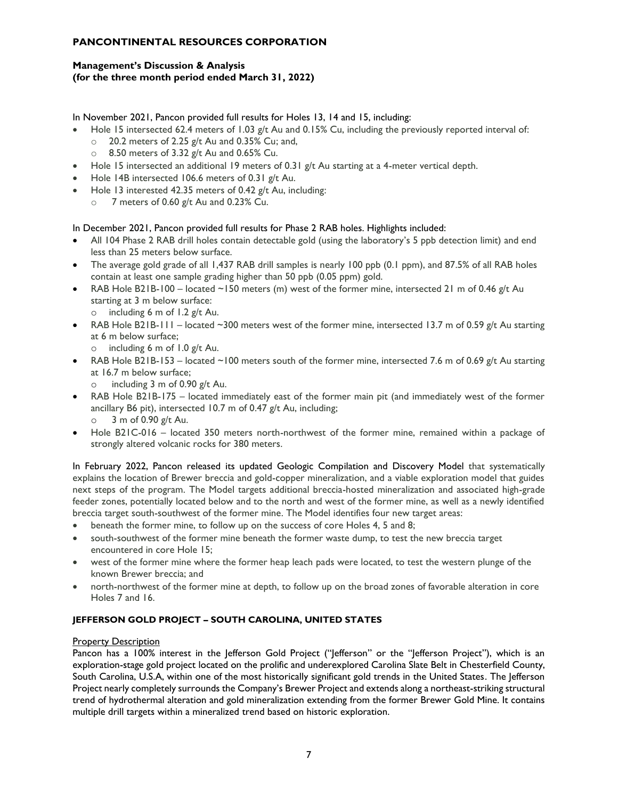## **Management's Discussion & Analysis (for the three month period ended March 31, 2022)**

In November 2021, Pancon provided full results for Holes 13, 14 and 15, including:

- Hole 15 intersected 62.4 meters of 1.03 g/t Au and 0.15% Cu, including the previously reported interval of:
	- $\degree$  20.2 meters of 2.25 g/t Au and 0.35% Cu; and,
	- $\circ$  8.50 meters of 3.32 g/t Au and 0.65% Cu.
- Hole 15 intersected an additional 19 meters of 0.31 g/t Au starting at a 4-meter vertical depth.
- Hole 14B intersected 106.6 meters of 0.31 g/t Au.
- Hole 13 interested 42.35 meters of 0.42 g/t Au, including:
	- $\circ$  7 meters of 0.60 g/t Au and 0.23% Cu.

In December 2021, Pancon provided full results for Phase 2 RAB holes. Highlights included:

- All 104 Phase 2 RAB drill holes contain detectable gold (using the laboratory's 5 ppb detection limit) and end less than 25 meters below surface.
- The average gold grade of all 1,437 RAB drill samples is nearly 100 ppb (0.1 ppm), and 87.5% of all RAB holes contain at least one sample grading higher than 50 ppb (0.05 ppm) gold.
- RAB Hole B21B-100 located ~150 meters (m) west of the former mine, intersected 21 m of 0.46 g/t Au starting at 3 m below surface:
	- $\circ$  including 6 m of 1.2 g/t Au.
- RAB Hole B21B-111 located ~300 meters west of the former mine, intersected 13.7 m of 0.59 g/t Au starting at 6 m below surface;
	- $\circ$  including 6 m of 1.0 g/t Au.
- RAB Hole B21B-153 located ~100 meters south of the former mine, intersected 7.6 m of 0.69 g/t Au starting at 16.7 m below surface;
	- $\circ$  including 3 m of 0.90 g/t Au.
- RAB Hole B21B-175 located immediately east of the former main pit (and immediately west of the former ancillary B6 pit), intersected 10.7 m of 0.47 g/t Au, including;  $\circ$  3 m of 0.90 g/t Au.
- Hole B21C-016 located 350 meters north-northwest of the former mine, remained within a package of strongly altered volcanic rocks for 380 meters.

In February 2022, Pancon released its updated Geologic Compilation and Discovery Model that systematically explains the location of Brewer breccia and gold-copper mineralization, and a viable exploration model that guides next steps of the program. The Model targets additional breccia-hosted mineralization and associated high-grade feeder zones, potentially located below and to the north and west of the former mine, as well as a newly identified breccia target south-southwest of the former mine. The Model identifies four new target areas:

- beneath the former mine, to follow up on the success of core Holes 4, 5 and 8;
- south-southwest of the former mine beneath the former waste dump, to test the new breccia target encountered in core Hole 15;
- west of the former mine where the former heap leach pads were located, to test the western plunge of the known Brewer breccia; and
- north-northwest of the former mine at depth, to follow up on the broad zones of favorable alteration in core Holes 7 and 16.

## **JEFFERSON GOLD PROJECT – SOUTH CAROLINA, UNITED STATES**

## Property Description

Pancon has a 100% interest in the Jefferson Gold Project ("Jefferson" or the "Jefferson Project"), which is an exploration-stage gold project located on the prolific and underexplored Carolina Slate Belt in Chesterfield County, South Carolina, U.S.A, within one of the most historically significant gold trends in the United States. The Jefferson Project nearly completely surrounds the Company's Brewer Project and extends along a northeast-striking structural trend of hydrothermal alteration and gold mineralization extending from the former Brewer Gold Mine. It contains multiple drill targets within a mineralized trend based on historic exploration.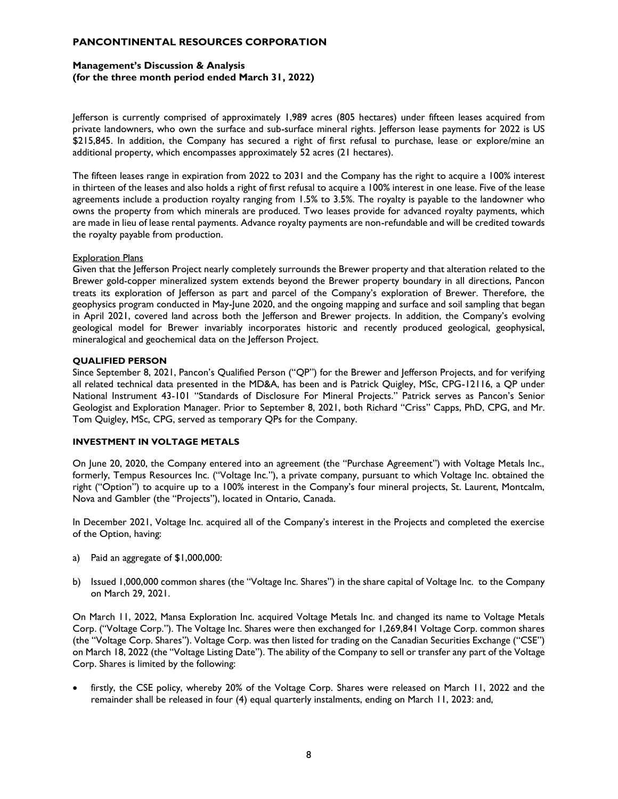## **Management's Discussion & Analysis (for the three month period ended March 31, 2022)**

Jefferson is currently comprised of approximately 1,989 acres (805 hectares) under fifteen leases acquired from private landowners, who own the surface and sub-surface mineral rights. Jefferson lease payments for 2022 is US \$215,845. In addition, the Company has secured a right of first refusal to purchase, lease or explore/mine an additional property, which encompasses approximately 52 acres (21 hectares).

The fifteen leases range in expiration from 2022 to 2031 and the Company has the right to acquire a 100% interest in thirteen of the leases and also holds a right of first refusal to acquire a 100% interest in one lease. Five of the lease agreements include a production royalty ranging from 1.5% to 3.5%. The royalty is payable to the landowner who owns the property from which minerals are produced. Two leases provide for advanced royalty payments, which are made in lieu of lease rental payments. Advance royalty payments are non-refundable and will be credited towards the royalty payable from production.

### **Exploration Plans**

Given that the Jefferson Project nearly completely surrounds the Brewer property and that alteration related to the Brewer gold-copper mineralized system extends beyond the Brewer property boundary in all directions, Pancon treats its exploration of Jefferson as part and parcel of the Company's exploration of Brewer. Therefore, the geophysics program conducted in May-June 2020, and the ongoing mapping and surface and soil sampling that began in April 2021, covered land across both the Jefferson and Brewer projects. In addition, the Company's evolving geological model for Brewer invariably incorporates historic and recently produced geological, geophysical, mineralogical and geochemical data on the Jefferson Project.

### **QUALIFIED PERSON**

Since September 8, 2021, Pancon's Qualified Person ("QP") for the Brewer and Jefferson Projects, and for verifying all related technical data presented in the MD&A, has been and is Patrick Quigley, MSc, CPG-12116, a QP under National Instrument 43-101 "Standards of Disclosure For Mineral Projects." Patrick serves as Pancon's Senior Geologist and Exploration Manager. Prior to September 8, 2021, both Richard "Criss" Capps, PhD, CPG, and Mr. Tom Quigley, MSc, CPG, served as temporary QPs for the Company.

## **INVESTMENT IN VOLTAGE METALS**

On June 20, 2020, the Company entered into an agreement (the "Purchase Agreement") with Voltage Metals Inc., formerly, Tempus Resources Inc. ("Voltage Inc."), a private company, pursuant to which Voltage Inc. obtained the right ("Option") to acquire up to a 100% interest in the Company's four mineral projects, St. Laurent, Montcalm, Nova and Gambler (the "Projects"), located in Ontario, Canada.

In December 2021, Voltage Inc. acquired all of the Company's interest in the Projects and completed the exercise of the Option, having:

- a) Paid an aggregate of \$1,000,000:
- b) Issued 1,000,000 common shares (the "Voltage Inc. Shares") in the share capital of Voltage Inc. to the Company on March 29, 2021.

On March 11, 2022, Mansa Exploration Inc. acquired Voltage Metals Inc. and changed its name to Voltage Metals Corp. ("Voltage Corp."). The Voltage Inc. Shares were then exchanged for 1,269,841 Voltage Corp. common shares (the "Voltage Corp. Shares"). Voltage Corp. was then listed for trading on the Canadian Securities Exchange ("CSE") on March 18, 2022 (the "Voltage Listing Date"). The ability of the Company to sell or transfer any part of the Voltage Corp. Shares is limited by the following:

• firstly, the CSE policy, whereby 20% of the Voltage Corp. Shares were released on March 11, 2022 and the remainder shall be released in four (4) equal quarterly instalments, ending on March 11, 2023: and,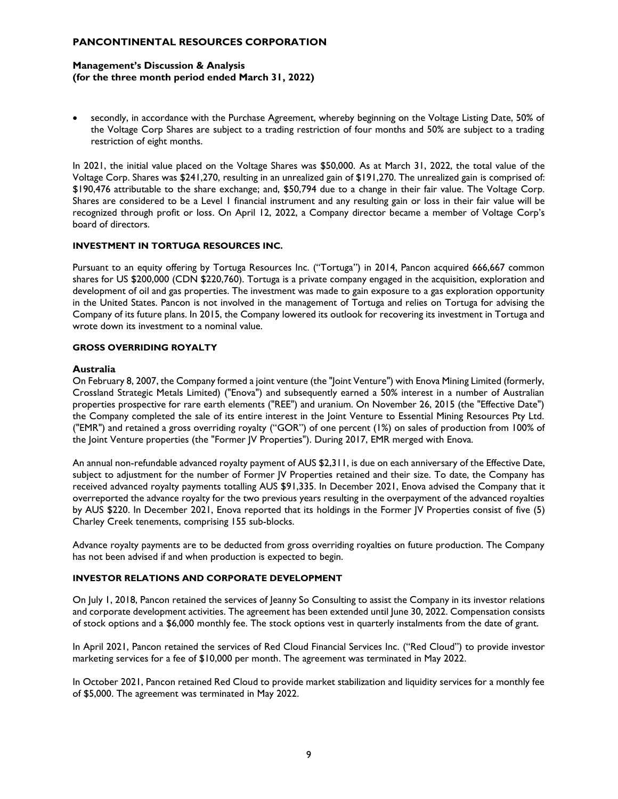## **Management's Discussion & Analysis (for the three month period ended March 31, 2022)**

• secondly, in accordance with the Purchase Agreement, whereby beginning on the Voltage Listing Date, 50% of the Voltage Corp Shares are subject to a trading restriction of four months and 50% are subject to a trading restriction of eight months.

In 2021, the initial value placed on the Voltage Shares was \$50,000. As at March 31, 2022, the total value of the Voltage Corp. Shares was \$241,270, resulting in an unrealized gain of \$191,270. The unrealized gain is comprised of: \$190,476 attributable to the share exchange; and, \$50,794 due to a change in their fair value. The Voltage Corp. Shares are considered to be a Level 1 financial instrument and any resulting gain or loss in their fair value will be recognized through profit or loss. On April 12, 2022, a Company director became a member of Voltage Corp's board of directors.

#### **INVESTMENT IN TORTUGA RESOURCES INC.**

Pursuant to an equity offering by Tortuga Resources Inc. ("Tortuga") in 2014, Pancon acquired 666,667 common shares for US \$200,000 (CDN \$220,760). Tortuga is a private company engaged in the acquisition, exploration and development of oil and gas properties. The investment was made to gain exposure to a gas exploration opportunity in the United States. Pancon is not involved in the management of Tortuga and relies on Tortuga for advising the Company of its future plans. In 2015, the Company lowered its outlook for recovering its investment in Tortuga and wrote down its investment to a nominal value.

### **GROSS OVERRIDING ROYALTY**

#### **Australia**

On February 8, 2007, the Company formed a joint venture (the "Joint Venture") with Enova Mining Limited (formerly, Crossland Strategic Metals Limited) ("Enova") and subsequently earned a 50% interest in a number of Australian properties prospective for rare earth elements ("REE") and uranium. On November 26, 2015 (the "Effective Date") the Company completed the sale of its entire interest in the Joint Venture to Essential Mining Resources Pty Ltd. ("EMR") and retained a gross overriding royalty ("GOR") of one percent (1%) on sales of production from 100% of the Joint Venture properties (the "Former JV Properties"). During 2017, EMR merged with Enova.

An annual non-refundable advanced royalty payment of AUS \$2,311, is due on each anniversary of the Effective Date, subject to adjustment for the number of Former JV Properties retained and their size. To date, the Company has received advanced royalty payments totalling AUS \$91,335. In December 2021, Enova advised the Company that it overreported the advance royalty for the two previous years resulting in the overpayment of the advanced royalties by AUS \$220. In December 2021, Enova reported that its holdings in the Former JV Properties consist of five (5) Charley Creek tenements, comprising 155 sub-blocks.

Advance royalty payments are to be deducted from gross overriding royalties on future production. The Company has not been advised if and when production is expected to begin.

## **INVESTOR RELATIONS AND CORPORATE DEVELOPMENT**

On July 1, 2018, Pancon retained the services of Jeanny So Consulting to assist the Company in its investor relations and corporate development activities. The agreement has been extended until June 30, 2022. Compensation consists of stock options and a \$6,000 monthly fee. The stock options vest in quarterly instalments from the date of grant.

In April 2021, Pancon retained the services of Red Cloud Financial Services Inc. ("Red Cloud") to provide investor marketing services for a fee of \$10,000 per month. The agreement was terminated in May 2022.

In October 2021, Pancon retained Red Cloud to provide market stabilization and liquidity services for a monthly fee of \$5,000. The agreement was terminated in May 2022.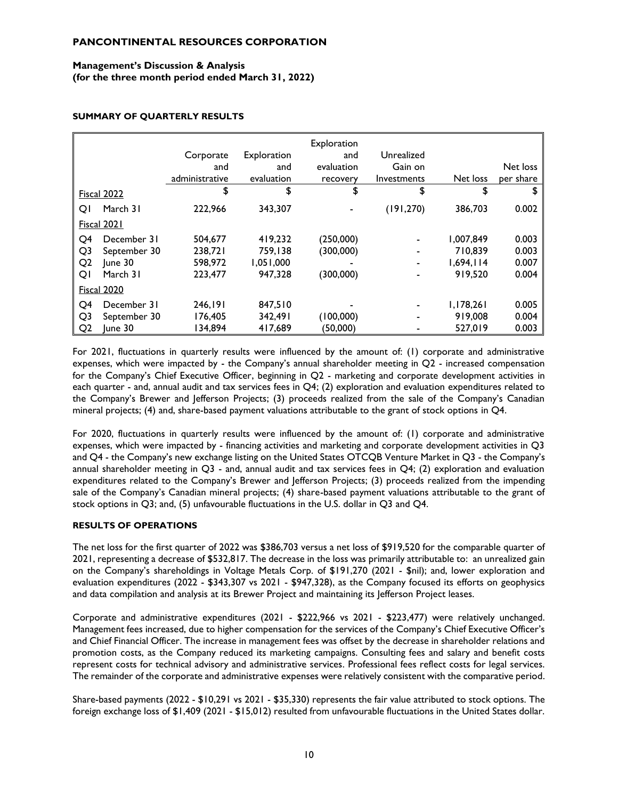## **Management's Discussion & Analysis (for the three month period ended March 31, 2022)**

## **SUMMARY OF QUARTERLY RESULTS**

|                    |                    | Corporate<br>and<br>administrative | Exploration<br>and<br>evaluation | Exploration<br>and<br>evaluation<br>recovery | Unrealized<br>Gain on<br>Investments | Net loss  | Net loss<br>per share |
|--------------------|--------------------|------------------------------------|----------------------------------|----------------------------------------------|--------------------------------------|-----------|-----------------------|
| <b>Fiscal 2022</b> |                    | \$                                 | \$                               | \$                                           | \$                                   | \$        | \$                    |
| QI                 | March 31           | 222,966                            | 343.307                          |                                              | (191, 270)                           | 386,703   | 0.002                 |
|                    | <b>Fiscal 2021</b> |                                    |                                  |                                              |                                      |           |                       |
| Q <sub>4</sub>     | December 31        | 504.677                            | 419,232                          | (250,000)                                    |                                      | 1,007,849 | 0.003                 |
| Q <sub>3</sub>     | September 30       | 238,721                            | 759,138                          | (300,000)                                    |                                      | 710.839   | 0.003                 |
| Q <sub>2</sub>     | lune 30            | 598,972                            | 1.051.000                        |                                              |                                      | 1.694.114 | 0.007                 |
| QI                 | March 31           | 223.477                            | 947,328                          | (300,000)                                    |                                      | 919,520   | 0.004                 |
| <b>Fiscal 2020</b> |                    |                                    |                                  |                                              |                                      |           |                       |
| Q <sub>4</sub>     | December 31        | 246.191                            | 847,510                          |                                              |                                      | 1,178,261 | 0.005                 |
| Q <sub>3</sub>     | September 30       | 176.405                            | 342.491                          | (100,000)                                    |                                      | 919,008   | 0.004                 |
| Q <sub>2</sub>     | June 30            | 134,894                            | 417,689                          | (50,000)                                     |                                      | 527,019   | 0.003                 |

For 2021, fluctuations in quarterly results were influenced by the amount of: (1) corporate and administrative expenses, which were impacted by - the Company's annual shareholder meeting in Q2 - increased compensation for the Company's Chief Executive Officer, beginning in Q2 - marketing and corporate development activities in each quarter - and, annual audit and tax services fees in Q4; (2) exploration and evaluation expenditures related to the Company's Brewer and Jefferson Projects; (3) proceeds realized from the sale of the Company's Canadian mineral projects; (4) and, share-based payment valuations attributable to the grant of stock options in Q4.

For 2020, fluctuations in quarterly results were influenced by the amount of: (1) corporate and administrative expenses, which were impacted by - financing activities and marketing and corporate development activities in Q3 and Q4 - the Company's new exchange listing on the United States OTCQB Venture Market in Q3 - the Company's annual shareholder meeting in  $Q3$  - and, annual audit and tax services fees in  $Q4$ ; (2) exploration and evaluation expenditures related to the Company's Brewer and Jefferson Projects; (3) proceeds realized from the impending sale of the Company's Canadian mineral projects; (4) share-based payment valuations attributable to the grant of stock options in Q3; and, (5) unfavourable fluctuations in the U.S. dollar in Q3 and Q4.

## **RESULTS OF OPERATIONS**

The net loss for the first quarter of 2022 was \$386,703 versus a net loss of \$919,520 for the comparable quarter of 2021, representing a decrease of \$532,817. The decrease in the loss was primarily attributable to: an unrealized gain on the Company's shareholdings in Voltage Metals Corp. of \$191,270 (2021 - \$nil); and, lower exploration and evaluation expenditures (2022 - \$343,307 vs 2021 - \$947,328), as the Company focused its efforts on geophysics and data compilation and analysis at its Brewer Project and maintaining its Jefferson Project leases.

Corporate and administrative expenditures (2021 - \$222,966 vs 2021 - \$223,477) were relatively unchanged. Management fees increased, due to higher compensation for the services of the Company's Chief Executive Officer's and Chief Financial Officer. The increase in management fees was offset by the decrease in shareholder relations and promotion costs, as the Company reduced its marketing campaigns. Consulting fees and salary and benefit costs represent costs for technical advisory and administrative services. Professional fees reflect costs for legal services. The remainder of the corporate and administrative expenses were relatively consistent with the comparative period.

Share-based payments (2022 - \$10,291 vs 2021 - \$35,330) represents the fair value attributed to stock options. The foreign exchange loss of \$1,409 (2021 - \$15,012) resulted from unfavourable fluctuations in the United States dollar.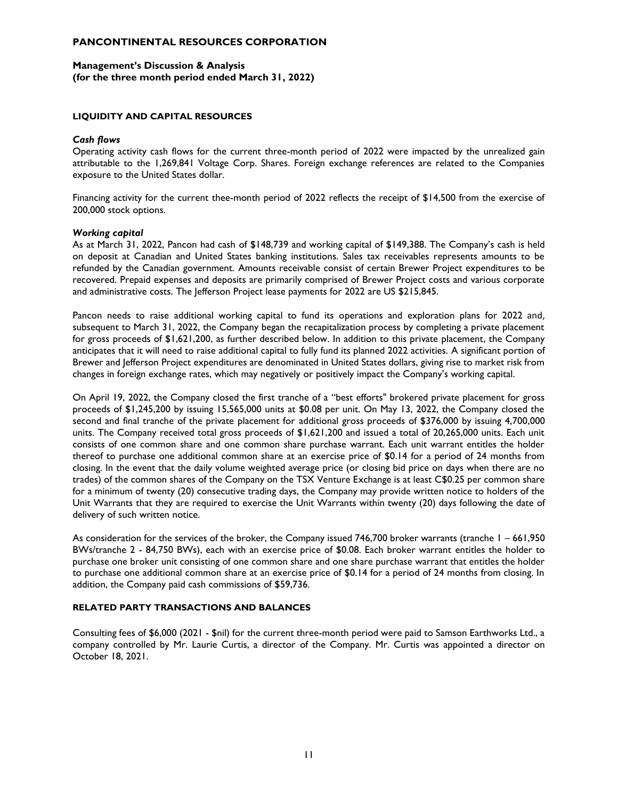## **Management's Discussion & Analysis (for the three month period ended March 31, 2022)**

### **LIQUIDITY AND CAPITAL RESOURCES**

### *Cash flows*

Operating activity cash flows for the current three-month period of 2022 were impacted by the unrealized gain attributable to the 1,269,841 Voltage Corp. Shares. Foreign exchange references are related to the Companies exposure to the United States dollar.

Financing activity for the current thee-month period of 2022 reflects the receipt of \$14,500 from the exercise of 200,000 stock options.

#### *Working capital*

As at March 31, 2022, Pancon had cash of \$148,739 and working capital of \$149,388. The Company's cash is held on deposit at Canadian and United States banking institutions. Sales tax receivables represents amounts to be refunded by the Canadian government. Amounts receivable consist of certain Brewer Project expenditures to be recovered. Prepaid expenses and deposits are primarily comprised of Brewer Project costs and various corporate and administrative costs. The Jefferson Project lease payments for 2022 are US \$215,845.

Pancon needs to raise additional working capital to fund its operations and exploration plans for 2022 and, subsequent to March 31, 2022, the Company began the recapitalization process by completing a private placement for gross proceeds of \$1,621,200, as further described below. In addition to this private placement, the Company anticipates that it will need to raise additional capital to fully fund its planned 2022 activities. A significant portion of Brewer and Jefferson Project expenditures are denominated in United States dollars, giving rise to market risk from changes in foreign exchange rates, which may negatively or positively impact the Company's working capital.

On April 19, 2022, the Company closed the first tranche of a "best efforts" brokered private placement for gross proceeds of \$1,245,200 by issuing 15,565,000 units at \$0.08 per unit. On May 13, 2022, the Company closed the second and final tranche of the private placement for additional gross proceeds of \$376,000 by issuing 4,700,000 units. The Company received total gross proceeds of \$1,621,200 and issued a total of 20,265,000 units. Each unit consists of one common share and one common share purchase warrant. Each unit warrant entitles the holder thereof to purchase one additional common share at an exercise price of \$0.14 for a period of 24 months from closing. In the event that the daily volume weighted average price (or closing bid price on days when there are no trades) of the common shares of the Company on the TSX Venture Exchange is at least C\$0.25 per common share for a minimum of twenty (20) consecutive trading days, the Company may provide written notice to holders of the Unit Warrants that they are required to exercise the Unit Warrants within twenty (20) days following the date of delivery of such written notice.

As consideration for the services of the broker, the Company issued 746,700 broker warrants (tranche 1 – 661,950 BWs/tranche 2 - 84,750 BWs), each with an exercise price of \$0.08. Each broker warrant entitles the holder to purchase one broker unit consisting of one common share and one share purchase warrant that entitles the holder to purchase one additional common share at an exercise price of \$0.14 for a period of 24 months from closing. In addition, the Company paid cash commissions of \$59,736.

#### **RELATED PARTY TRANSACTIONS AND BALANCES**

Consulting fees of \$6,000 (2021 - \$nil) for the current three-month period were paid to Samson Earthworks Ltd., a company controlled by Mr. Laurie Curtis, a director of the Company. Mr. Curtis was appointed a director on October 18, 2021.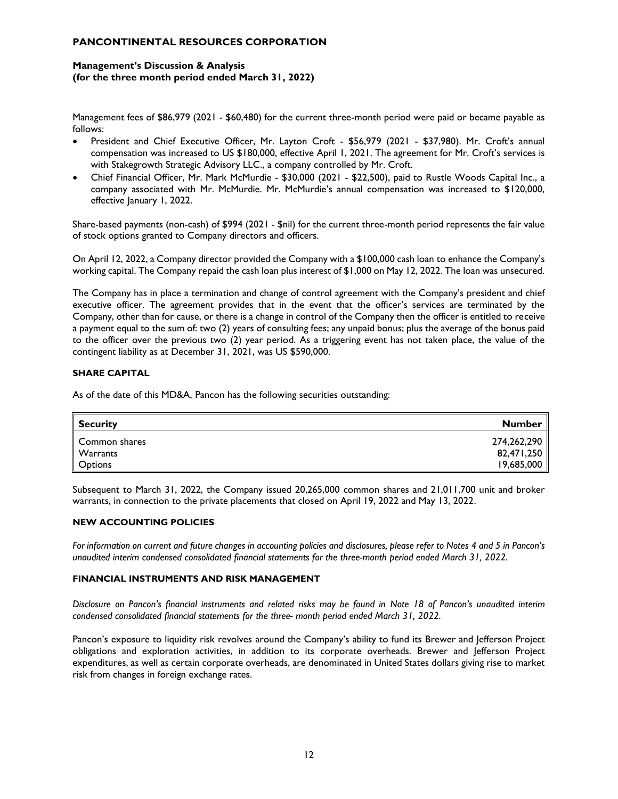## **Management's Discussion & Analysis (for the three month period ended March 31, 2022)**

Management fees of \$86,979 (2021 - \$60,480) for the current three-month period were paid or became payable as follows:

- President and Chief Executive Officer, Mr. Layton Croft \$56,979 (2021 \$37,980). Mr. Croft's annual compensation was increased to US \$180,000, effective April 1, 2021. The agreement for Mr. Croft's services is with Stakegrowth Strategic Advisory LLC., a company controlled by Mr. Croft.
- Chief Financial Officer, Mr. Mark McMurdie \$30,000 (2021 \$22,500), paid to Rustle Woods Capital Inc., a company associated with Mr. McMurdie. Mr. McMurdie's annual compensation was increased to \$120,000, effective January 1, 2022.

Share-based payments (non-cash) of \$994 (2021 - \$nil) for the current three-month period represents the fair value of stock options granted to Company directors and officers.

On April 12, 2022, a Company director provided the Company with a \$100,000 cash loan to enhance the Company's working capital. The Company repaid the cash loan plus interest of \$1,000 on May 12, 2022. The loan was unsecured.

The Company has in place a termination and change of control agreement with the Company's president and chief executive officer. The agreement provides that in the event that the officer's services are terminated by the Company, other than for cause, or there is a change in control of the Company then the officer is entitled to receive a payment equal to the sum of: two (2) years of consulting fees; any unpaid bonus; plus the average of the bonus paid to the officer over the previous two (2) year period. As a triggering event has not taken place, the value of the contingent liability as at December 31, 2021, was US \$590,000.

## **SHARE CAPITAL**

As of the date of this MD&A, Pancon has the following securities outstanding:

| <b>Security</b> | Number      |
|-----------------|-------------|
| Common shares   | 274,262,290 |
| Warrants        | 82,471,250  |
| Options         | 19,685,000  |

Subsequent to March 31, 2022, the Company issued 20,265,000 common shares and 21,011,700 unit and broker warrants, in connection to the private placements that closed on April 19, 2022 and May 13, 2022.

## **NEW ACCOUNTING POLICIES**

*For information on current and future changes in accounting policies and disclosures, please refer to Notes 4 and 5 in Pancon's unaudited interim condensed consolidated financial statements for the three-month period ended March 31, 2022.*

### **FINANCIAL INSTRUMENTS AND RISK MANAGEMENT**

*Disclosure on Pancon's financial instruments and related risks may be found in Note 18 of Pancon's unaudited interim condensed consolidated financial statements for the three- month period ended March 31, 2022.*

Pancon's exposure to liquidity risk revolves around the Company's ability to fund its Brewer and Jefferson Project obligations and exploration activities, in addition to its corporate overheads. Brewer and Jefferson Project expenditures, as well as certain corporate overheads, are denominated in United States dollars giving rise to market risk from changes in foreign exchange rates.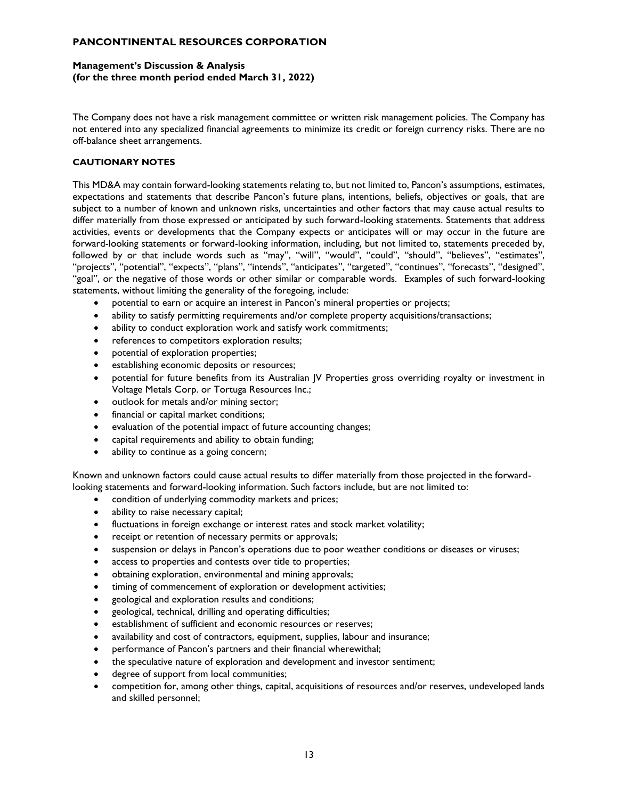## **Management's Discussion & Analysis (for the three month period ended March 31, 2022)**

The Company does not have a risk management committee or written risk management policies. The Company has not entered into any specialized financial agreements to minimize its credit or foreign currency risks. There are no off-balance sheet arrangements.

## **CAUTIONARY NOTES**

This MD&A may contain forward-looking statements relating to, but not limited to, Pancon's assumptions, estimates, expectations and statements that describe Pancon's future plans, intentions, beliefs, objectives or goals, that are subject to a number of known and unknown risks, uncertainties and other factors that may cause actual results to differ materially from those expressed or anticipated by such forward-looking statements. Statements that address activities, events or developments that the Company expects or anticipates will or may occur in the future are forward-looking statements or forward-looking information, including, but not limited to, statements preceded by, followed by or that include words such as "may", "will", "would", "could", "should", "believes", "estimates", "projects", "potential", "expects", "plans", "intends", "anticipates", "targeted", "continues", "forecasts", "designed", "goal", or the negative of those words or other similar or comparable words. Examples of such forward-looking statements, without limiting the generality of the foregoing, include:

- potential to earn or acquire an interest in Pancon's mineral properties or projects;
- ability to satisfy permitting requirements and/or complete property acquisitions/transactions;
- ability to conduct exploration work and satisfy work commitments;
- references to competitors exploration results;
- potential of exploration properties;
- establishing economic deposits or resources;
- potential for future benefits from its Australian JV Properties gross overriding royalty or investment in Voltage Metals Corp. or Tortuga Resources Inc.;
- outlook for metals and/or mining sector;
- financial or capital market conditions;
- evaluation of the potential impact of future accounting changes;
- capital requirements and ability to obtain funding;
- ability to continue as a going concern;

Known and unknown factors could cause actual results to differ materially from those projected in the forwardlooking statements and forward-looking information. Such factors include, but are not limited to:

- condition of underlying commodity markets and prices;
- ability to raise necessary capital;
- fluctuations in foreign exchange or interest rates and stock market volatility;
- receipt or retention of necessary permits or approvals;
- suspension or delays in Pancon's operations due to poor weather conditions or diseases or viruses;
- access to properties and contests over title to properties;
- obtaining exploration, environmental and mining approvals;
- timing of commencement of exploration or development activities;
- geological and exploration results and conditions;
- geological, technical, drilling and operating difficulties;
- establishment of sufficient and economic resources or reserves;
- availability and cost of contractors, equipment, supplies, labour and insurance;
- performance of Pancon's partners and their financial wherewithal;
- the speculative nature of exploration and development and investor sentiment;
- degree of support from local communities;
- competition for, among other things, capital, acquisitions of resources and/or reserves, undeveloped lands and skilled personnel;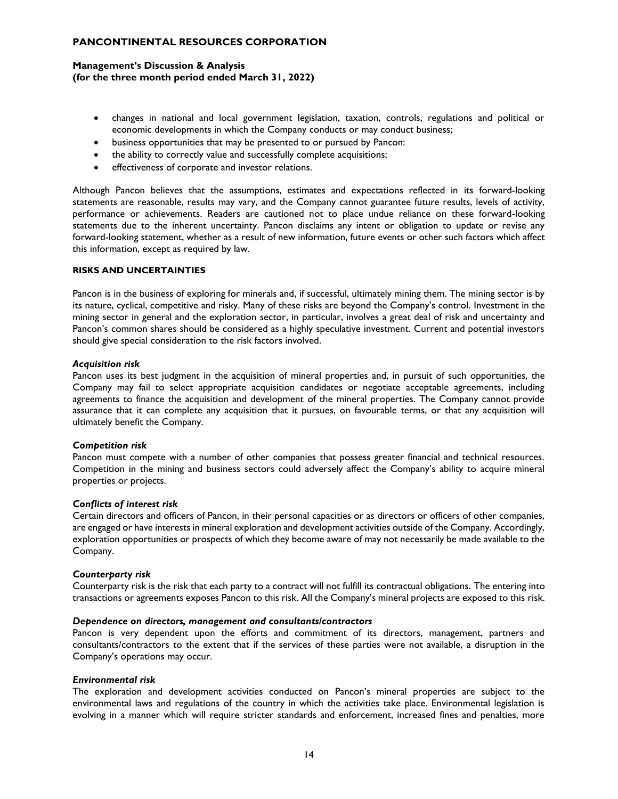## **Management's Discussion & Analysis (for the three month period ended March 31, 2022)**

- changes in national and local government legislation, taxation, controls, regulations and political or economic developments in which the Company conducts or may conduct business;
- business opportunities that may be presented to or pursued by Pancon:
- the ability to correctly value and successfully complete acquisitions;
- effectiveness of corporate and investor relations.

Although Pancon believes that the assumptions, estimates and expectations reflected in its forward-looking statements are reasonable, results may vary, and the Company cannot guarantee future results, levels of activity, performance or achievements. Readers are cautioned not to place undue reliance on these forward-looking statements due to the inherent uncertainty. Pancon disclaims any intent or obligation to update or revise any forward-looking statement, whether as a result of new information, future events or other such factors which affect this information, except as required by law.

#### **RISKS AND UNCERTAINTIES**

Pancon is in the business of exploring for minerals and, if successful, ultimately mining them. The mining sector is by its nature, cyclical, competitive and risky. Many of these risks are beyond the Company's control. Investment in the mining sector in general and the exploration sector, in particular, involves a great deal of risk and uncertainty and Pancon's common shares should be considered as a highly speculative investment. Current and potential investors should give special consideration to the risk factors involved.

#### *Acquisition risk*

Pancon uses its best judgment in the acquisition of mineral properties and, in pursuit of such opportunities, the Company may fail to select appropriate acquisition candidates or negotiate acceptable agreements, including agreements to finance the acquisition and development of the mineral properties. The Company cannot provide assurance that it can complete any acquisition that it pursues, on favourable terms, or that any acquisition will ultimately benefit the Company.

#### *Competition risk*

Pancon must compete with a number of other companies that possess greater financial and technical resources. Competition in the mining and business sectors could adversely affect the Company's ability to acquire mineral properties or projects.

#### *Conflicts of interest risk*

Certain directors and officers of Pancon, in their personal capacities or as directors or officers of other companies, are engaged or have interests in mineral exploration and development activities outside of the Company. Accordingly, exploration opportunities or prospects of which they become aware of may not necessarily be made available to the Company.

#### *Counterparty risk*

Counterparty risk is the risk that each party to a contract will not fulfill its contractual obligations. The entering into transactions or agreements exposes Pancon to this risk. All the Company's mineral projects are exposed to this risk.

#### *Dependence on directors, management and consultants/contractors*

Pancon is very dependent upon the efforts and commitment of its directors, management, partners and consultants/contractors to the extent that if the services of these parties were not available, a disruption in the Company's operations may occur.

#### *Environmental risk*

The exploration and development activities conducted on Pancon's mineral properties are subject to the environmental laws and regulations of the country in which the activities take place. Environmental legislation is evolving in a manner which will require stricter standards and enforcement, increased fines and penalties, more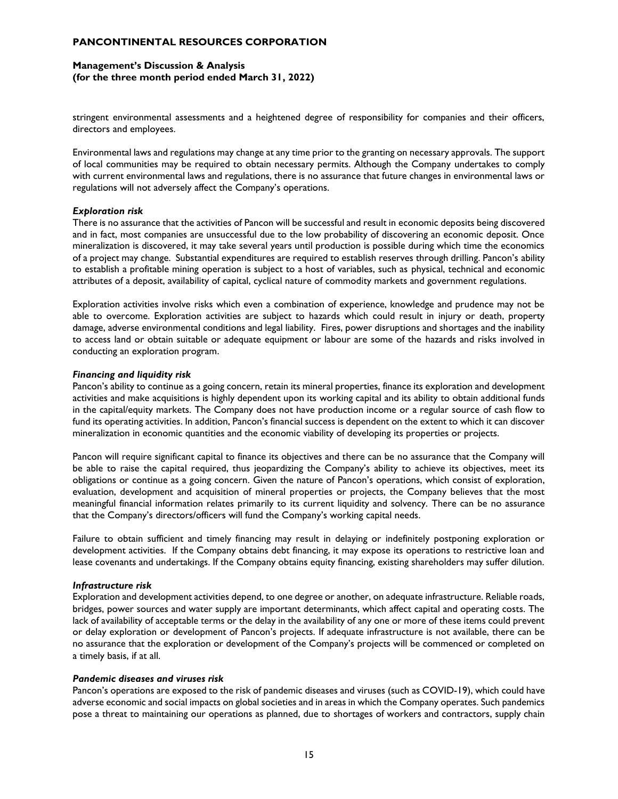## **Management's Discussion & Analysis (for the three month period ended March 31, 2022)**

stringent environmental assessments and a heightened degree of responsibility for companies and their officers, directors and employees.

Environmental laws and regulations may change at any time prior to the granting on necessary approvals. The support of local communities may be required to obtain necessary permits. Although the Company undertakes to comply with current environmental laws and regulations, there is no assurance that future changes in environmental laws or regulations will not adversely affect the Company's operations.

#### *Exploration risk*

There is no assurance that the activities of Pancon will be successful and result in economic deposits being discovered and in fact, most companies are unsuccessful due to the low probability of discovering an economic deposit. Once mineralization is discovered, it may take several years until production is possible during which time the economics of a project may change. Substantial expenditures are required to establish reserves through drilling. Pancon's ability to establish a profitable mining operation is subject to a host of variables, such as physical, technical and economic attributes of a deposit, availability of capital, cyclical nature of commodity markets and government regulations.

Exploration activities involve risks which even a combination of experience, knowledge and prudence may not be able to overcome. Exploration activities are subject to hazards which could result in injury or death, property damage, adverse environmental conditions and legal liability. Fires, power disruptions and shortages and the inability to access land or obtain suitable or adequate equipment or labour are some of the hazards and risks involved in conducting an exploration program.

#### *Financing and liquidity risk*

Pancon's ability to continue as a going concern, retain its mineral properties, finance its exploration and development activities and make acquisitions is highly dependent upon its working capital and its ability to obtain additional funds in the capital/equity markets. The Company does not have production income or a regular source of cash flow to fund its operating activities. In addition, Pancon's financial success is dependent on the extent to which it can discover mineralization in economic quantities and the economic viability of developing its properties or projects.

Pancon will require significant capital to finance its objectives and there can be no assurance that the Company will be able to raise the capital required, thus jeopardizing the Company's ability to achieve its objectives, meet its obligations or continue as a going concern. Given the nature of Pancon's operations, which consist of exploration, evaluation, development and acquisition of mineral properties or projects, the Company believes that the most meaningful financial information relates primarily to its current liquidity and solvency. There can be no assurance that the Company's directors/officers will fund the Company's working capital needs.

Failure to obtain sufficient and timely financing may result in delaying or indefinitely postponing exploration or development activities. If the Company obtains debt financing, it may expose its operations to restrictive loan and lease covenants and undertakings. If the Company obtains equity financing, existing shareholders may suffer dilution.

#### *Infrastructure risk*

Exploration and development activities depend, to one degree or another, on adequate infrastructure. Reliable roads, bridges, power sources and water supply are important determinants, which affect capital and operating costs. The lack of availability of acceptable terms or the delay in the availability of any one or more of these items could prevent or delay exploration or development of Pancon's projects. If adequate infrastructure is not available, there can be no assurance that the exploration or development of the Company's projects will be commenced or completed on a timely basis, if at all.

#### *Pandemic diseases and viruses risk*

Pancon's operations are exposed to the risk of pandemic diseases and viruses (such as COVID-19), which could have adverse economic and social impacts on global societies and in areas in which the Company operates. Such pandemics pose a threat to maintaining our operations as planned, due to shortages of workers and contractors, supply chain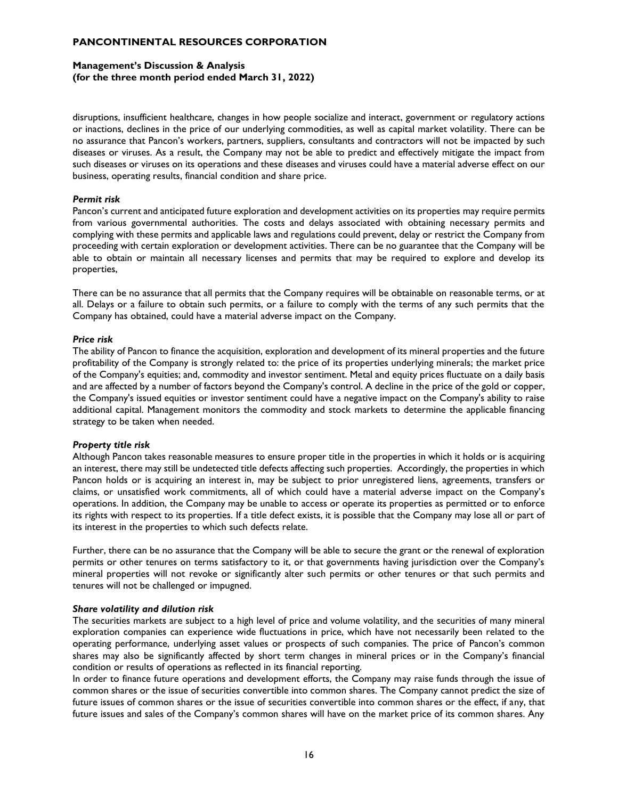## **Management's Discussion & Analysis (for the three month period ended March 31, 2022)**

disruptions, insufficient healthcare, changes in how people socialize and interact, government or regulatory actions or inactions, declines in the price of our underlying commodities, as well as capital market volatility. There can be no assurance that Pancon's workers, partners, suppliers, consultants and contractors will not be impacted by such diseases or viruses. As a result, the Company may not be able to predict and effectively mitigate the impact from such diseases or viruses on its operations and these diseases and viruses could have a material adverse effect on our business, operating results, financial condition and share price.

### *Permit risk*

Pancon's current and anticipated future exploration and development activities on its properties may require permits from various governmental authorities. The costs and delays associated with obtaining necessary permits and complying with these permits and applicable laws and regulations could prevent, delay or restrict the Company from proceeding with certain exploration or development activities. There can be no guarantee that the Company will be able to obtain or maintain all necessary licenses and permits that may be required to explore and develop its properties,

There can be no assurance that all permits that the Company requires will be obtainable on reasonable terms, or at all. Delays or a failure to obtain such permits, or a failure to comply with the terms of any such permits that the Company has obtained, could have a material adverse impact on the Company.

### *Price risk*

The ability of Pancon to finance the acquisition, exploration and development of its mineral properties and the future profitability of the Company is strongly related to: the price of its properties underlying minerals; the market price of the Company's equities; and, commodity and investor sentiment. Metal and equity prices fluctuate on a daily basis and are affected by a number of factors beyond the Company's control. A decline in the price of the gold or copper, the Company's issued equities or investor sentiment could have a negative impact on the Company's ability to raise additional capital. Management monitors the commodity and stock markets to determine the applicable financing strategy to be taken when needed.

#### *Property title risk*

Although Pancon takes reasonable measures to ensure proper title in the properties in which it holds or is acquiring an interest, there may still be undetected title defects affecting such properties. Accordingly, the properties in which Pancon holds or is acquiring an interest in, may be subject to prior unregistered liens, agreements, transfers or claims, or unsatisfied work commitments, all of which could have a material adverse impact on the Company's operations. In addition, the Company may be unable to access or operate its properties as permitted or to enforce its rights with respect to its properties. If a title defect exists, it is possible that the Company may lose all or part of its interest in the properties to which such defects relate.

Further, there can be no assurance that the Company will be able to secure the grant or the renewal of exploration permits or other tenures on terms satisfactory to it, or that governments having jurisdiction over the Company's mineral properties will not revoke or significantly alter such permits or other tenures or that such permits and tenures will not be challenged or impugned.

#### *Share volatility and dilution risk*

The securities markets are subject to a high level of price and volume volatility, and the securities of many mineral exploration companies can experience wide fluctuations in price, which have not necessarily been related to the operating performance, underlying asset values or prospects of such companies. The price of Pancon's common shares may also be significantly affected by short term changes in mineral prices or in the Company's financial condition or results of operations as reflected in its financial reporting.

In order to finance future operations and development efforts, the Company may raise funds through the issue of common shares or the issue of securities convertible into common shares. The Company cannot predict the size of future issues of common shares or the issue of securities convertible into common shares or the effect, if any, that future issues and sales of the Company's common shares will have on the market price of its common shares. Any